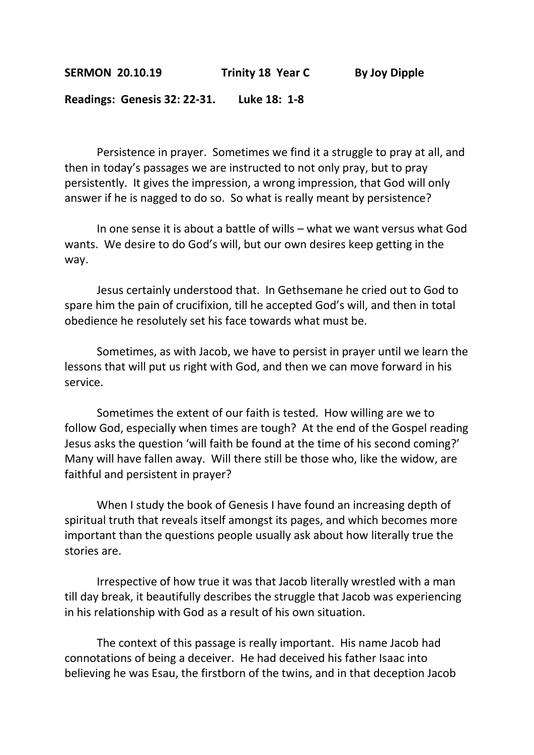**SERMON 20.10.19 Trinity 18 Year C By Joy Dipple**

**Readings: Genesis 32: 22-31. Luke 18: 1-8**

Persistence in prayer. Sometimes we find it a struggle to pray at all, and then in today's passages we are instructed to not only pray, but to pray persistently. It gives the impression, a wrong impression, that God will only answer if he is nagged to do so. So what is really meant by persistence?

In one sense it is about a battle of wills – what we want versus what God wants. We desire to do God's will, but our own desires keep getting in the way.

Jesus certainly understood that. In Gethsemane he cried out to God to spare him the pain of crucifixion, till he accepted God's will, and then in total obedience he resolutely set his face towards what must be.

Sometimes, as with Jacob, we have to persist in prayer until we learn the lessons that will put us right with God, and then we can move forward in his service.

Sometimes the extent of our faith is tested. How willing are we to follow God, especially when times are tough? At the end of the Gospel reading Jesus asks the question 'will faith be found at the time of his second coming?' Many will have fallen away. Will there still be those who, like the widow, are faithful and persistent in prayer?

When I study the book of Genesis I have found an increasing depth of spiritual truth that reveals itself amongst its pages, and which becomes more important than the questions people usually ask about how literally true the stories are.

Irrespective of how true it was that Jacob literally wrestled with a man till day break, it beautifully describes the struggle that Jacob was experiencing in his relationship with God as a result of his own situation.

The context of this passage is really important. His name Jacob had connotations of being a deceiver. He had deceived his father Isaac into believing he was Esau, the firstborn of the twins, and in that deception Jacob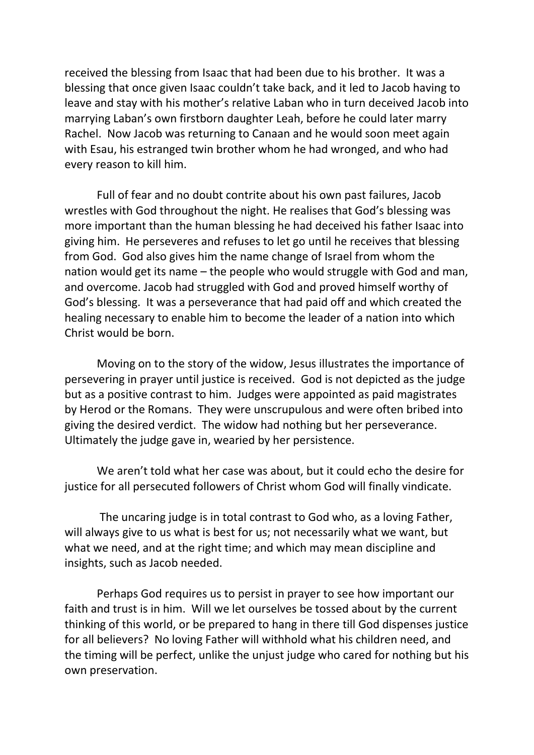received the blessing from Isaac that had been due to his brother. It was a blessing that once given Isaac couldn't take back, and it led to Jacob having to leave and stay with his mother's relative Laban who in turn deceived Jacob into marrying Laban's own firstborn daughter Leah, before he could later marry Rachel. Now Jacob was returning to Canaan and he would soon meet again with Esau, his estranged twin brother whom he had wronged, and who had every reason to kill him.

Full of fear and no doubt contrite about his own past failures, Jacob wrestles with God throughout the night. He realises that God's blessing was more important than the human blessing he had deceived his father Isaac into giving him. He perseveres and refuses to let go until he receives that blessing from God. God also gives him the name change of Israel from whom the nation would get its name – the people who would struggle with God and man, and overcome. Jacob had struggled with God and proved himself worthy of God's blessing. It was a perseverance that had paid off and which created the healing necessary to enable him to become the leader of a nation into which Christ would be born.

Moving on to the story of the widow, Jesus illustrates the importance of persevering in prayer until justice is received. God is not depicted as the judge but as a positive contrast to him. Judges were appointed as paid magistrates by Herod or the Romans. They were unscrupulous and were often bribed into giving the desired verdict. The widow had nothing but her perseverance. Ultimately the judge gave in, wearied by her persistence.

We aren't told what her case was about, but it could echo the desire for justice for all persecuted followers of Christ whom God will finally vindicate.

The uncaring judge is in total contrast to God who, as a loving Father, will always give to us what is best for us; not necessarily what we want, but what we need, and at the right time; and which may mean discipline and insights, such as Jacob needed.

Perhaps God requires us to persist in prayer to see how important our faith and trust is in him. Will we let ourselves be tossed about by the current thinking of this world, or be prepared to hang in there till God dispenses justice for all believers? No loving Father will withhold what his children need, and the timing will be perfect, unlike the unjust judge who cared for nothing but his own preservation.